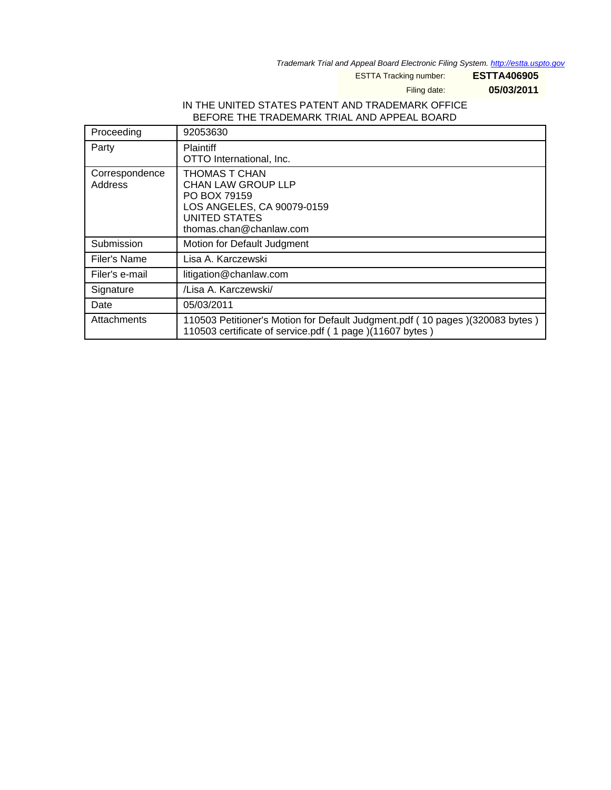Trademark Trial and Appeal Board Electronic Filing System. <http://estta.uspto.gov>

ESTTA Tracking number: **ESTTA406905**

Filing date: **05/03/2011**

## IN THE UNITED STATES PATENT AND TRADEMARK OFFICE BEFORE THE TRADEMARK TRIAL AND APPEAL BOARD

| Proceeding                | 92053630                                                                                                                                    |
|---------------------------|---------------------------------------------------------------------------------------------------------------------------------------------|
| Party                     | <b>Plaintiff</b><br>OTTO International, Inc.                                                                                                |
| Correspondence<br>Address | <b>THOMAS T CHAN</b><br>CHAN LAW GROUP LLP<br>PO BOX 79159<br>LOS ANGELES, CA 90079-0159<br><b>UNITED STATES</b><br>thomas.chan@chanlaw.com |
| Submission                | Motion for Default Judgment                                                                                                                 |
| Filer's Name              | Lisa A. Karczewski                                                                                                                          |
| Filer's e-mail            | litigation@chanlaw.com                                                                                                                      |
| Signature                 | /Lisa A. Karczewski/                                                                                                                        |
| Date                      | 05/03/2011                                                                                                                                  |
| Attachments               | 110503 Petitioner's Motion for Default Judgment.pdf (10 pages) (320083 bytes)<br>110503 certificate of service.pdf (1 page)(11607 bytes)    |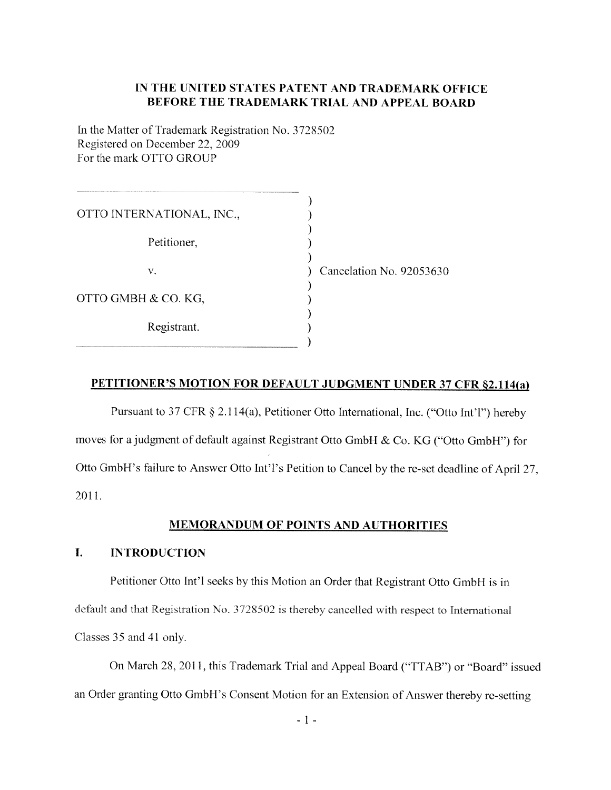# IN THE UNITED STATES PATENT AND TRADEMARK OFFICE BEFORE THE TRADEMARK TRIAL AND APPEAL BOARD

In the Matter of Trademark Registration No. 3728502 Registered on December 22, 2009 For the mark OTTO GROUP

| OTTO INTERNATIONAL, INC., |                          |
|---------------------------|--------------------------|
| Petitioner,               |                          |
| v.                        | Cancelation No. 92053630 |
| OTTO GMBH & CO. KG,       |                          |
| Registrant.               |                          |

## **PETITIONER'S MOTION FOR DEFAULT JUDGMENT UNDER 37 CFR \$2.114(a)**

Pursuant to 37 CFR § 2.114(a), Petitioner Otto International, Inc. ("Otto Int'l") hereby moves for a judgment of default against Registrant Otto GmbH & Co. KG ("Otto GmbH") for Otto GmbH's failure to Answer Otto Int'l's Petition to Cancel by the re-set deadline of April 27, 2011.

## **MEMORANDUM OF POINTS AND AUTHORITIES**

#### L. **INTRODUCTION**

Petitioner Otto Int'l seeks by this Motion an Order that Registrant Otto GmbH is in default and that Registration No. 3728502 is thereby cancelled with respect to International Classes 35 and 41 only.

On March 28, 2011, this Trademark Trial and Appeal Board ("TTAB") or "Board" issued an Order granting Otto GmbH's Consent Motion for an Extension of Answer thereby re-setting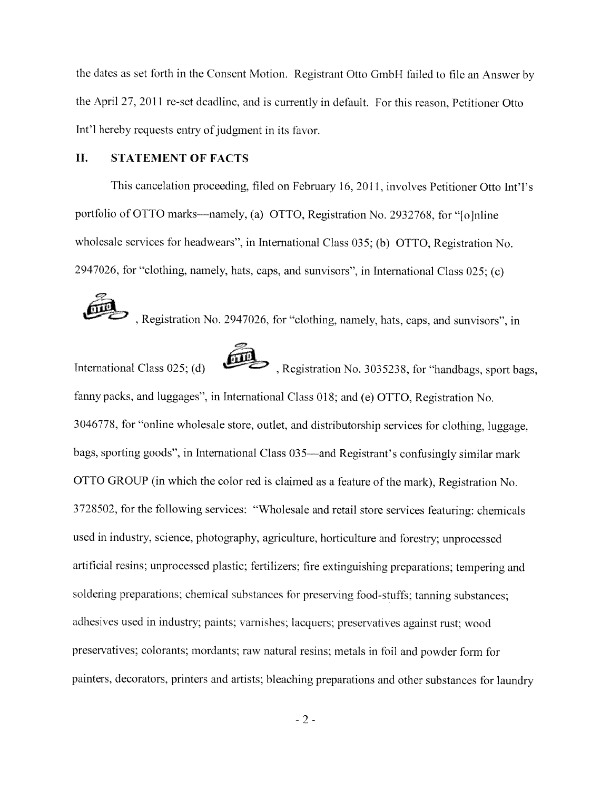the dates as set forth in the Consent Motion. Registrant Otto GmbH failed to file an Answer by the April 27, 2011 re-set deadline, and is currently in default. For this reason, Petitioner Otto Int'l hereby requests entry of judgment in its favor.

### II. **STATEMENT OF FACTS**

This cancelation proceeding, filed on February 16, 2011, involves Petitioner Otto Int'l's portfolio of OTTO marks—namely, (a) OTTO, Registration No. 2932768, for "folnline" wholesale services for headwears", in International Class 035; (b) OTTO, Registration No. 2947026, for "clothing, namely, hats, caps, and sunvisors", in International Class 025; (c)

Registration No. 2947026, for "clothing, namely, hats, caps, and sunvisors", in

>, Registration No. 3035238, for "handbags, sport bags, International Class  $025$ ; (d) fanny packs, and luggages", in International Class 018; and (e) OTTO, Registration No. 3046778, for "online wholesale store, outlet, and distributorship services for clothing, luggage, bags, sporting goods", in International Class 035—and Registrant's confusingly similar mark OTTO GROUP (in which the color red is claimed as a feature of the mark), Registration No. 3728502, for the following services: "Wholesale and retail store services featuring: chemicals used in industry, science, photography, agriculture, horticulture and forestry; unprocessed artificial resins; unprocessed plastic; fertilizers; fire extinguishing preparations; tempering and soldering preparations; chemical substances for preserving food-stuffs; tanning substances; adhesives used in industry; paints; varnishes; lacquers; preservatives against rust; wood preservatives; colorants; mordants; raw natural resins; metals in foil and powder form for painters, decorators, printers and artists; bleaching preparations and other substances for laundry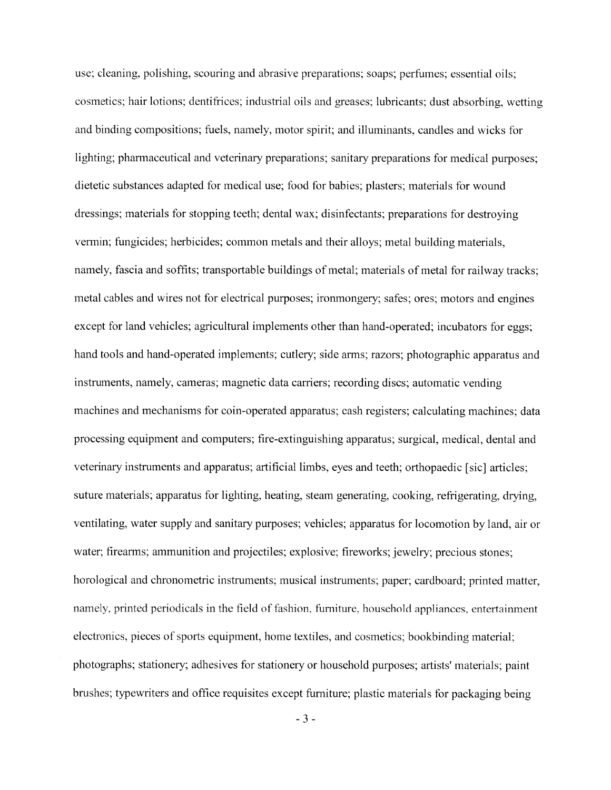use; cleaning, polishing, scouring and abrasive preparations; soaps; perfumes; essential oils; cosmetics; hair lotions; dentifrices; industrial oils and greases; lubricants; dust absorbing, wetting and binding compositions; fuels, namely, motor spirit; and illuminants, candles and wicks for lighting; pharmaceutical and veterinary preparations; sanitary preparations for medical purposes; dietetic substances adapted for medical use; food for babies; plasters; materials for wound dressings; materials for stopping teeth; dental wax; disinfectants; preparations for destroying vermin; fungicides; herbicides; common metals and their alloys; metal building materials, namely, fascia and soffits; transportable buildings of metal; materials of metal for railway tracks; metal cables and wires not for electrical purposes; ironmongery; safes; ores; motors and engines except for land vehicles; agricultural implements other than hand-operated; incubators for eggs; hand tools and hand-operated implements; cutlery; side arms; razors; photographic apparatus and instruments, namely, cameras; magnetic data carriers; recording discs; automatic vending machines and mechanisms for coin-operated apparatus; cash registers; calculating machines; data processing equipment and computers; fire-extinguishing apparatus; surgical, medical, dental and veterinary instruments and apparatus; artificial limbs, eyes and teeth; orthopaedic [sic] articles; suture materials; apparatus for lighting, heating, steam generating, cooking, refrigerating, drying, ventilating, water supply and sanitary purposes; vehicles; apparatus for locomotion by land, air or water; firearms; ammunition and projectiles; explosive; fireworks; jewelry; precious stones; horological and chronometric instruments; musical instruments; paper; cardboard; printed matter, namely, printed periodicals in the field of fashion, furniture, household appliances, entertainment electronics, pieces of sports equipment, home textiles, and cosmetics; bookbinding material; photographs; stationery; adhesives for stationery or household purposes; artists' materials; paint brushes; typewriters and office requisites except furniture; plastic materials for packaging being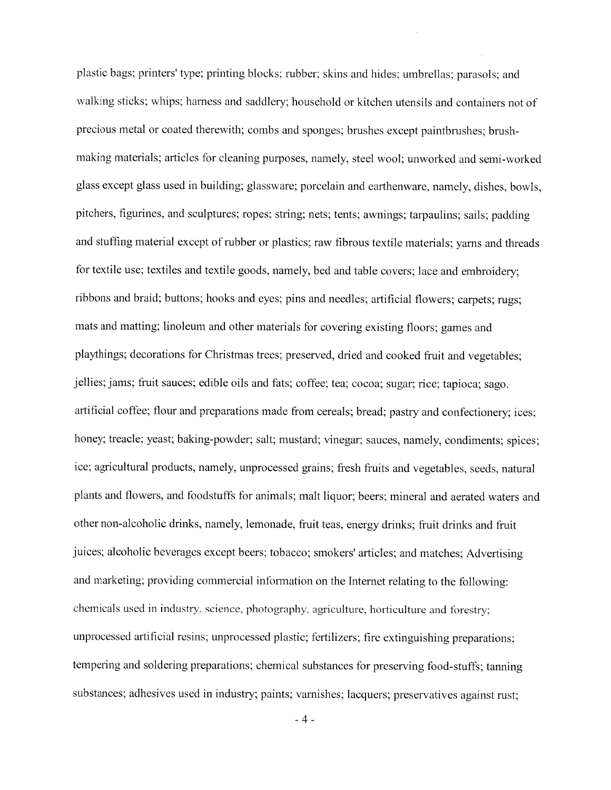plastic bags; printers' type; printing blocks; rubber; skins and hides; umbrellas; parasols; and walking sticks; whips; harness and saddlery; household or kitchen utensils and containers not of precious metal or coated therewith; combs and sponges; brushes except paintbrushes; brushmaking materials; articles for cleaning purposes, namely, steel wool; unworked and semi-worked glass except glass used in building; glassware; porcelain and earthenware, namely, dishes, bowls, pitchers, figurines, and sculptures; ropes; string; nets; tents; awnings; tarpaulins; sails; padding and stuffing material except of rubber or plastics; raw fibrous textile materials; yarns and threads for textile use; textiles and textile goods, namely, bed and table covers; lace and embroidery: ribbons and braid; buttons; hooks and eyes; pins and needles; artificial flowers; carpets; rugs; mats and matting; linoleum and other materials for covering existing floors; games and playthings; decorations for Christmas trees; preserved, dried and cooked fruit and vegetables; jellies; jams; fruit sauces; edible oils and fats; coffee; tea; cocoa; sugar; rice; tapioca; sago. artificial coffee; flour and preparations made from cereals; bread; pastry and confectionery; ices; honey; treacle; yeast; baking-powder; salt; mustard; vinegar; sauces, namely, condiments; spices; ice; agricultural products, namely, unprocessed grains; fresh fruits and vegetables, seeds, natural plants and flowers, and foodstuffs for animals; malt liquor; beers; mineral and aerated waters and other non-alcoholic drinks, namely, lemonade, fruit teas, energy drinks; fruit drinks and fruit juices; alcoholic beverages except beers; tobacco; smokers' articles; and matches; Advertising and marketing; providing commercial information on the Internet relating to the following: chemicals used in industry, science, photography, agriculture, horticulture and forestry; unprocessed artificial resins; unprocessed plastic; fertilizers; fire extinguishing preparations; tempering and soldering preparations; chemical substances for preserving food-stuffs; tanning substances; adhesives used in industry; paints; varnishes; lacquers; preservatives against rust;

 $-4-$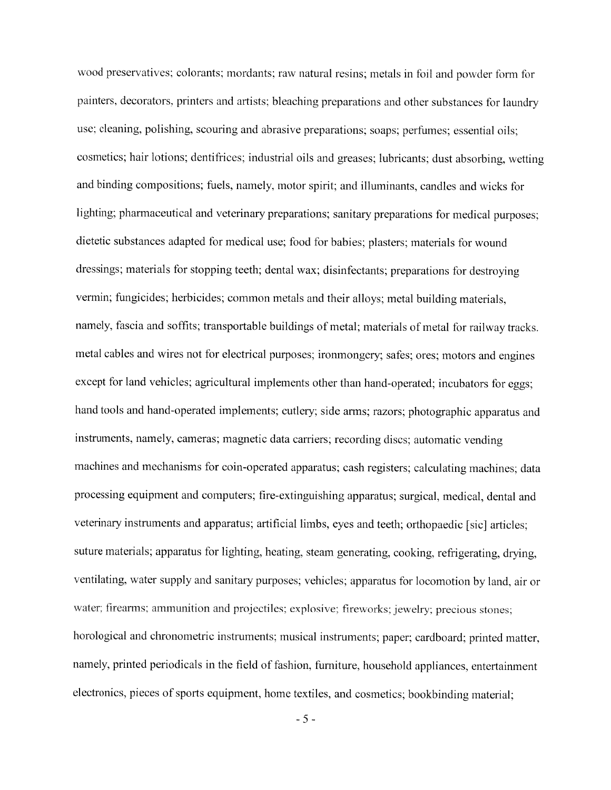wood preservatives; colorants; mordants; raw natural resins; metals in foil and powder form for painters, decorators, printers and artists; bleaching preparations and other substances for laundry use; cleaning, polishing, scouring and abrasive preparations; soaps; perfumes; essential oils; cosmetics; hair lotions; dentifrices; industrial oils and greases; lubricants; dust absorbing, wetting and binding compositions; fuels, namely, motor spirit; and illuminants, candles and wicks for lighting; pharmaceutical and veterinary preparations; sanitary preparations for medical purposes; dietetic substances adapted for medical use; food for babies; plasters; materials for wound dressings; materials for stopping teeth; dental wax; disinfectants; preparations for destroving vermin; fungicides; herbicides; common metals and their alloys; metal building materials, namely, fascia and soffits; transportable buildings of metal; materials of metal for railway tracks. metal cables and wires not for electrical purposes; ironmongery; safes; ores; motors and engines except for land vehicles; agricultural implements other than hand-operated; incubators for eggs; hand tools and hand-operated implements; cutlery; side arms; razors; photographic apparatus and instruments, namely, cameras; magnetic data carriers; recording discs; automatic vending machines and mechanisms for coin-operated apparatus; cash registers; calculating machines; data processing equipment and computers; fire-extinguishing apparatus; surgical, medical, dental and veterinary instruments and apparatus; artificial limbs, eyes and teeth; orthopaedic [sic] articles; suture materials; apparatus for lighting, heating, steam generating, cooking, refrigerating, drying, ventilating, water supply and sanitary purposes; vehicles; apparatus for locomotion by land, air or water; firearms; ammunition and projectiles; explosive; fireworks; jewelry; precious stones; horological and chronometric instruments; musical instruments; paper; cardboard; printed matter, namely, printed periodicals in the field of fashion, furniture, household appliances, entertainment electronics, pieces of sports equipment, home textiles, and cosmetics; bookbinding material;

 $-5-$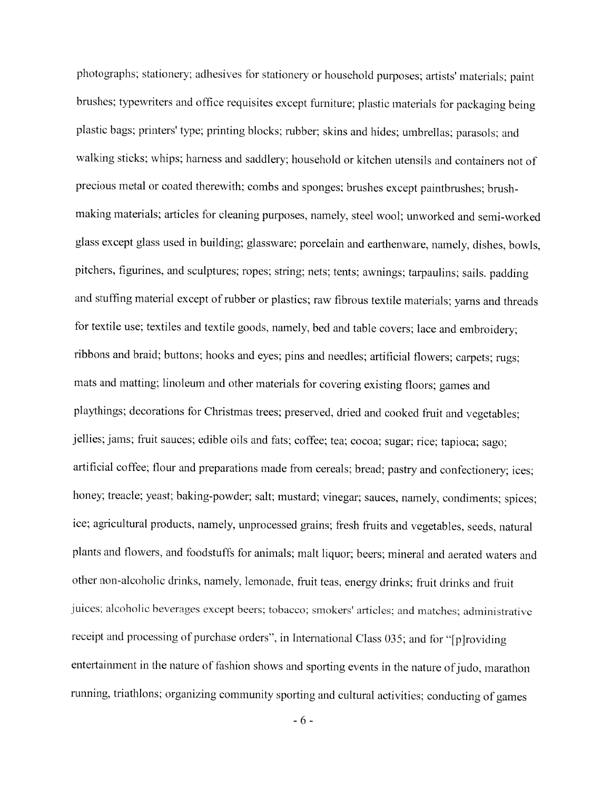photographs; stationery; adhesives for stationery or household purposes; artists' materials; paint brushes; typewriters and office requisites except furniture; plastic materials for packaging being plastic bags; printers' type; printing blocks; rubber; skins and hides; umbrellas; parasols; and walking sticks; whips; harness and saddlery; household or kitchen utensils and containers not of precious metal or coated therewith; combs and sponges; brushes except paintbrushes; brushmaking materials; articles for cleaning purposes, namely, steel wool; unworked and semi-worked glass except glass used in building; glassware; porcelain and earthenware, namely, dishes, bowls, pitchers, figurines, and sculptures; ropes; string; nets; tents; awnings; tarpaulins; sails. padding and stuffing material except of rubber or plastics; raw fibrous textile materials; yarns and threads for textile use; textiles and textile goods, namely, bed and table covers; lace and embroidery; ribbons and braid; buttons; hooks and eyes; pins and needles; artificial flowers; carpets; rugs; mats and matting; linoleum and other materials for covering existing floors; games and playthings; decorations for Christmas trees; preserved, dried and cooked fruit and vegetables; jellies; jams; fruit sauces; edible oils and fats; coffee; tea; cocoa; sugar; rice; tapioca; sago; artificial coffee; flour and preparations made from cereals; bread; pastry and confectionery; ices; honey; treacle; yeast; baking-powder; salt; mustard; vinegar; sauces, namely, condiments; spices; ice; agricultural products, namely, unprocessed grains; fresh fruits and vegetables, seeds, natural plants and flowers, and foodstuffs for animals; malt liquor; beers; mineral and aerated waters and other non-alcoholic drinks, namely, lemonade, fruit teas, energy drinks; fruit drinks and fruit juices; alcoholic beverages except beers; tobacco; smokers' articles; and matches; administrative receipt and processing of purchase orders", in International Class 035; and for "[p]roviding entertainment in the nature of fashion shows and sporting events in the nature of judo, marathon running, triathlons; organizing community sporting and cultural activities; conducting of games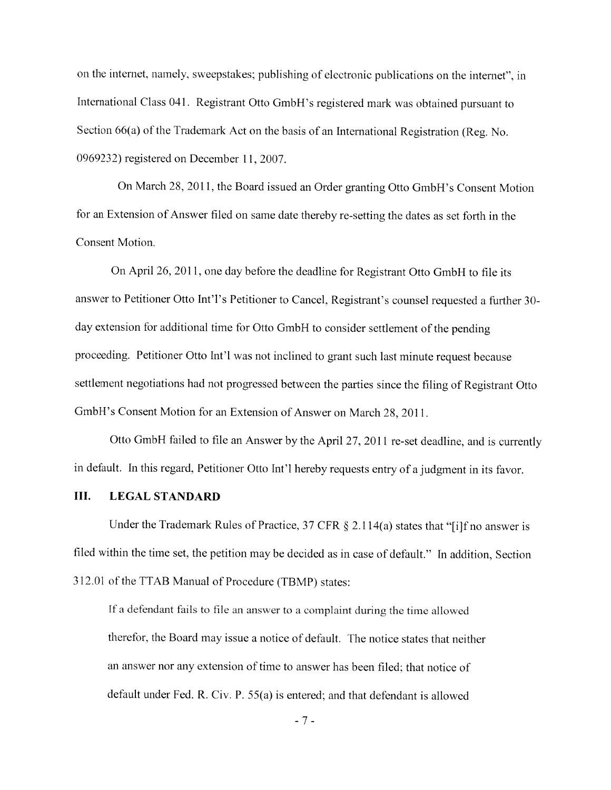on the internet, namely, sweepstakes; publishing of electronic publications on the internet", in International Class 041. Registrant Otto GmbH's registered mark was obtained pursuant to Section 66(a) of the Trademark Act on the basis of an International Registration (Reg. No. 0969232) registered on December 11, 2007.

On March 28, 2011, the Board issued an Order granting Otto GmbH's Consent Motion for an Extension of Answer filed on same date thereby re-setting the dates as set forth in the Consent Motion.

On April 26, 2011, one day before the deadline for Registrant Otto GmbH to file its answer to Petitioner Otto Int'l's Petitioner to Cancel, Registrant's counsel requested a further 30day extension for additional time for Otto GmbH to consider settlement of the pending proceeding. Petitioner Otto Int'l was not inclined to grant such last minute request because settlement negotiations had not progressed between the parties since the filing of Registrant Otto GmbH's Consent Motion for an Extension of Answer on March 28, 2011.

Otto GmbH failed to file an Answer by the April 27, 2011 re-set deadline, and is currently in default. In this regard, Petitioner Otto Int'l hereby requests entry of a judgment in its favor.

### III. **LEGAL STANDARD**

Under the Trademark Rules of Practice, 37 CFR § 2.114(a) states that "[i]f no answer is filed within the time set, the petition may be decided as in case of default." In addition, Section 312.01 of the TTAB Manual of Procedure (TBMP) states:

If a defendant fails to file an answer to a complaint during the time allowed therefor, the Board may issue a notice of default. The notice states that neither an answer nor any extension of time to answer has been filed; that notice of default under Fed. R. Civ. P. 55(a) is entered; and that defendant is allowed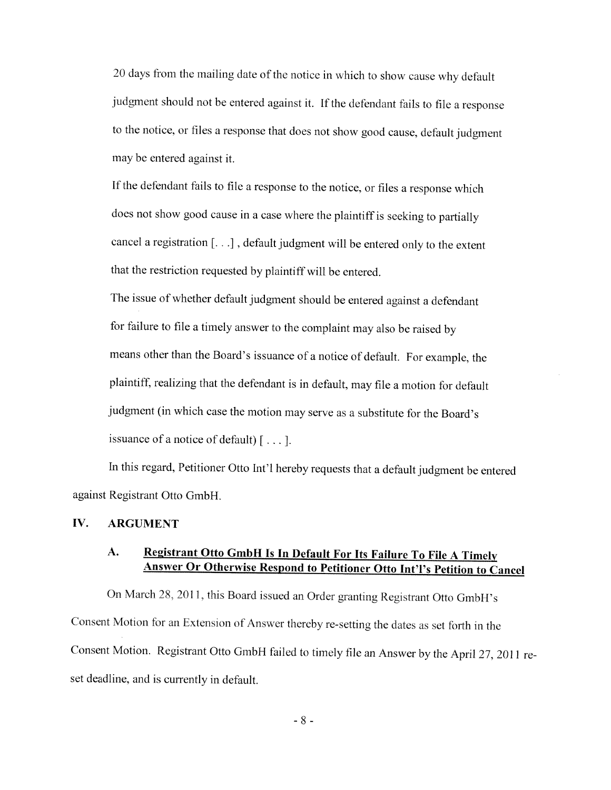20 days from the mailing date of the notice in which to show cause why default judgment should not be entered against it. If the defendant fails to file a response to the notice, or files a response that does not show good cause, default judgment may be entered against it.

If the defendant fails to file a response to the notice, or files a response which does not show good cause in a case where the plaintiff is seeking to partially cancel a registration [...], default judgment will be entered only to the extent that the restriction requested by plaintiff will be entered.

The issue of whether default judgment should be entered against a defendant for failure to file a timely answer to the complaint may also be raised by means other than the Board's issuance of a notice of default. For example, the plaintiff, realizing that the defendant is in default, may file a motion for default judgment (in which case the motion may serve as a substitute for the Board's issuance of a notice of default)  $[\dots]$ .

In this regard, Petitioner Otto Int'l hereby requests that a default judgment be entered against Registrant Otto GmbH.

### IV. **ARGUMENT**

### Registrant Otto GmbH Is In Default For Its Failure To File A Timely A. Answer Or Otherwise Respond to Petitioner Otto Int'l's Petition to Cancel

On March 28, 2011, this Board issued an Order granting Registrant Otto GmbH's Consent Motion for an Extension of Answer thereby re-setting the dates as set forth in the Consent Motion. Registrant Otto GmbH failed to timely file an Answer by the April 27, 2011 reset deadline, and is currently in default.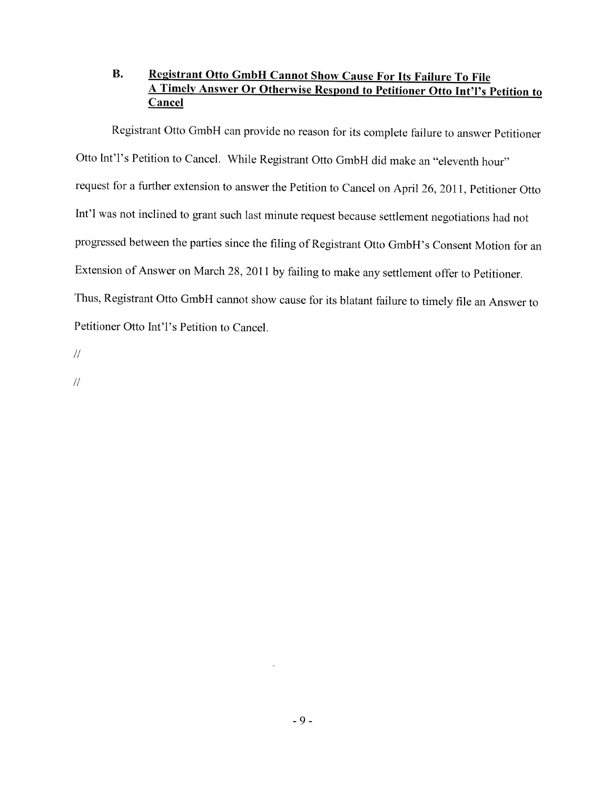### **B.** Registrant Otto GmbH Cannot Show Cause For Its Failure To File A Timely Answer Or Otherwise Respond to Petitioner Otto Int'l's Petition to Cancel

Registrant Otto GmbH can provide no reason for its complete failure to answer Petitioner Otto Int'l's Petition to Cancel. While Registrant Otto GmbH did make an "eleventh hour" request for a further extension to answer the Petition to Cancel on April 26, 2011, Petitioner Otto Int'l was not inclined to grant such last minute request because settlement negotiations had not progressed between the parties since the filing of Registrant Otto GmbH's Consent Motion for an Extension of Answer on March 28, 2011 by failing to make any settlement offer to Petitioner. Thus, Registrant Otto GmbH cannot show cause for its blatant failure to timely file an Answer to Petitioner Otto Int'l's Petition to Cancel.

 $\frac{1}{2}$ 

 $\frac{1}{2}$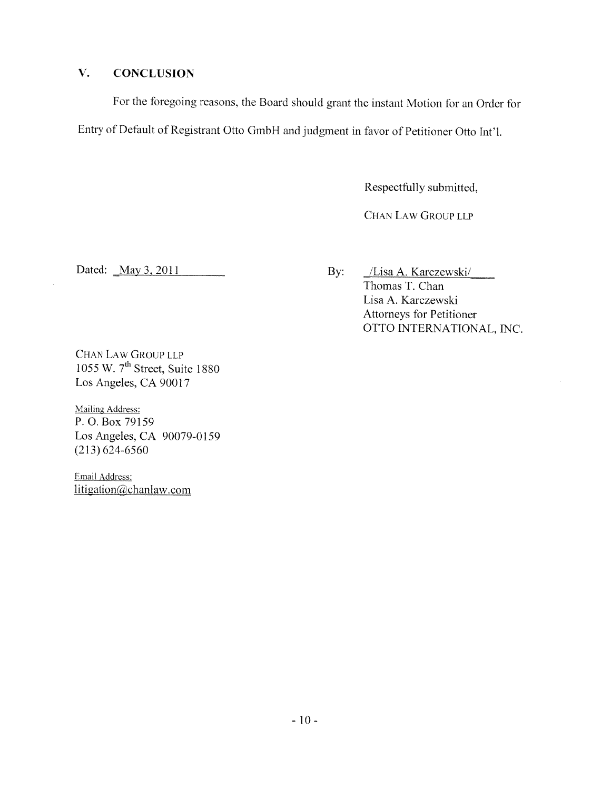### $V_{\star}$ **CONCLUSION**

For the foregoing reasons, the Board should grant the instant Motion for an Order for Entry of Default of Registrant Otto GmbH and judgment in favor of Petitioner Otto Int'l.

Respectfully submitted,

CHAN LAW GROUP LLP

Dated: May 3, 2011

By: /Lisa A. Karczewski/ Thomas T. Chan Lisa A. Karczewski **Attorneys for Petitioner** OTTO INTERNATIONAL, INC.

CHAN LAW GROUP LLP 1055 W. 7<sup>th</sup> Street, Suite 1880 Los Angeles, CA 90017

**Mailing Address:** P.O. Box 79159 Los Angeles, CA 90079-0159  $(213) 624 - 6560$ 

Email Address: litigation@chanlaw.com